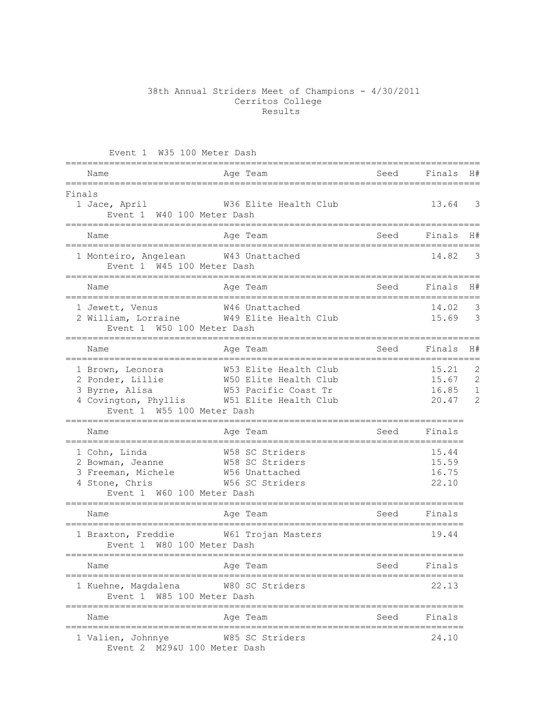## 38th Annual Striders Meet of Champions - 4/30/2011 Cerritos College Results

| Event 1 W35 100 Meter Dash                                                                                                             |                                                                                                                      |                         |                                                 |                                                       |
|----------------------------------------------------------------------------------------------------------------------------------------|----------------------------------------------------------------------------------------------------------------------|-------------------------|-------------------------------------------------|-------------------------------------------------------|
| Name                                                                                                                                   | Age Team                                                                                                             | Seed<br>============    | Finals                                          | H#                                                    |
| Finals<br>1 Jace, April<br>Event 1 W40 100 Meter Dash                                                                                  | W36 Elite Health Club                                                                                                |                         | 13.64                                           | 3                                                     |
| Name                                                                                                                                   | Age Team                                                                                                             | Seed                    | Finals                                          | H#                                                    |
| 1 Monteiro, Angelean W43 Unattached<br>Event 1 W45 100 Meter Dash                                                                      |                                                                                                                      |                         | 14.82                                           | 3                                                     |
| Name                                                                                                                                   | Age Team                                                                                                             | Seed                    | Finals                                          | H#                                                    |
| 1 Jewett, Venus<br>Event 1 W50 100 Meter Dash<br>========                                                                              | W46 Unattached<br>2 William, Lorraine M49 Elite Health Club                                                          |                         | 14.02<br>15.69                                  | 3<br>$\mathcal{S}$                                    |
| Name                                                                                                                                   | Aqe Team                                                                                                             |                         | Seed Finals                                     | H#                                                    |
| 1 Brown, Leonora<br>2 Ponder, Lillie<br>3 Byrne, Alisa<br>Event 1 W55 100 Meter Dash                                                   | W53 Elite Health Club<br>W50 Elite Health Club<br>W53 Pacific Coast Tr<br>4 Covington, Phyllis W51 Elite Health Club |                         | ===========<br>15.21<br>15.67<br>16.85<br>20.47 | 2<br>$\overline{c}$<br>$\mathbf{1}$<br>$\overline{2}$ |
| Name                                                                                                                                   | Age Team                                                                                                             | Seed                    | Finals                                          |                                                       |
| 1 Cohn, Linda<br>2 Bowman, Jeanne M58 SC Striders<br>3 Freeman, Michele M56 Unattached<br>4 Stone, Chris<br>Event 1 W60 100 Meter Dash | W58 SC Striders<br>W56 SC Striders                                                                                   | ======================= | 15.44<br>15.59<br>16.75<br>22.10                |                                                       |
| Name                                                                                                                                   | Age Team                                                                                                             | Seed                    | Finals                                          |                                                       |
| 1 Braxton, Freddie M61 Trojan Masters<br>Event 1 W80 100 Meter Dash                                                                    |                                                                                                                      |                         | 19.44                                           |                                                       |
| Name                                                                                                                                   | Age Team                                                                                                             | Seed                    | Finals                                          |                                                       |
| :======================<br>1 Kuehne, Magdalena<br>Event 1 W85 100 Meter Dash                                                           | :=================<br>W80 SC Striders                                                                                |                         | 22.13                                           |                                                       |
| Name<br>============================                                                                                                   | Age Team                                                                                                             | Seed                    | Finals                                          |                                                       |
| 1 Valien, Johnnye<br>Event 2 M29&U 100 Meter Dash                                                                                      | W85 SC Striders                                                                                                      |                         | 24.10                                           |                                                       |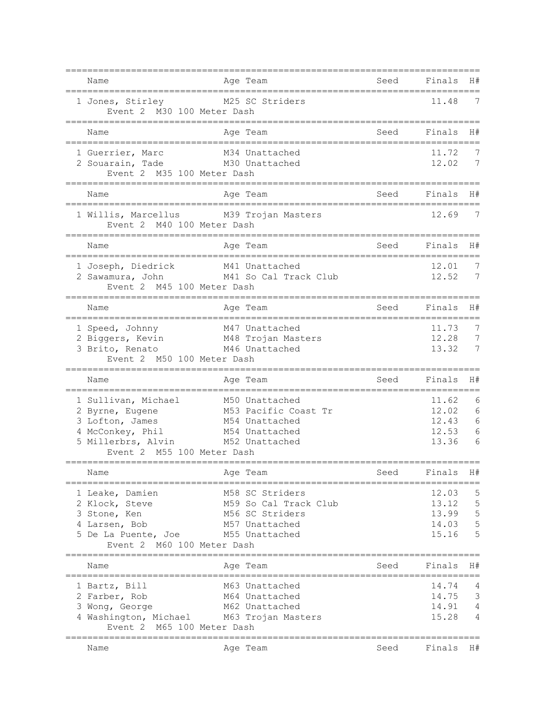| Name                                                                                                                                                            | Age Team                                                                                                                |                                     | Seed Finals                               | H#                    |
|-----------------------------------------------------------------------------------------------------------------------------------------------------------------|-------------------------------------------------------------------------------------------------------------------------|-------------------------------------|-------------------------------------------|-----------------------|
| 1 Jones, Stirley M25 SC Striders<br>Event 2 M30 100 Meter Dash                                                                                                  |                                                                                                                         |                                     | =============<br>11.48                    | 7                     |
| Name                                                                                                                                                            | Age Team                                                                                                                | Seed                                | Finals                                    | H#                    |
| 1 Guerrier, Marc M34 Unattached<br>2 Souarain, Tade M30 Unattached<br>Event 2 M35 100 Meter Dash                                                                |                                                                                                                         |                                     | 11.72<br>12.02                            | 7                     |
| Name                                                                                                                                                            | Age Team                                                                                                                | Seed                                | Finals                                    | H#                    |
| 1 Willis, Marcellus<br>Event 2 M40 100 Meter Dash                                                                                                               | M39 Trojan Masters                                                                                                      |                                     | 12.69                                     | 7                     |
| Name                                                                                                                                                            | Age Team                                                                                                                | Seed                                | Finals                                    | H#                    |
| ==================================<br>1 Joseph, Diedrick<br>2 Sawamura, John M41 So Cal Track Club<br>Event 2 M45 100 Meter Dash                                | ============================<br>M41 Unattached                                                                          |                                     | 12.01<br>12.52                            | 7<br>7                |
| Name                                                                                                                                                            | Age Team                                                                                                                | Seed                                | Finals                                    | H#                    |
| 1 Speed, Johnny<br>2 Biggers, Kevin<br>3 Brito, Renato<br>2 M46 Unattached<br>Event 2 M50 100 Meter Dash                                                        | M47 Unattached                                                                                                          |                                     | 11.73<br>12.28<br>13.32                   | 7<br>7<br>7           |
| Name                                                                                                                                                            | Age Team                                                                                                                | Seed                                | Finals                                    | H#                    |
| 1 Sullivan, Michael<br>2 Byrne, Eugene<br>3 Lofton, James<br>4 McConkey, Phil M54 Unattached<br>5 Millerbrs, Alvin M52 Unattached<br>Event 2 M55 100 Meter Dash | M50 Unattached<br>M53 Pacific Coast Tr<br>M54 Unattached                                                                |                                     | 11.62<br>12.02<br>12.43<br>12.53<br>13.36 | 6<br>6<br>6<br>6<br>6 |
| Name                                                                                                                                                            | Age Team                                                                                                                | Seed                                | Finals H#                                 |                       |
| 1 Leake, Damien<br>2 Klock, Steve<br>3 Stone, Ken<br>4 Larsen, Bob<br>5 De La Puente, Joe<br>Event 2 M60 100 Meter Dash                                         | M58 SC Striders<br>M59 So Cal Track Club<br>M56 SC Striders<br>M57 Unattached<br>M55 Unattached<br>==================== | ================                    | 12.03<br>13.12<br>13.99<br>14.03<br>15.16 | 5<br>5<br>5<br>5<br>5 |
| Name                                                                                                                                                            | Age Team                                                                                                                | Seed<br>=========================== | Finals                                    | H#                    |
| 1 Bartz, Bill<br>2 Farber, Rob<br>3 Wong, George<br>4 Washington, Michael M63 Trojan Masters<br>Event 2 M65 100 Meter Dash                                      | M63 Unattached<br>M64 Unattached<br>M62 Unattached                                                                      |                                     | 14.74<br>14.75<br>14.91<br>15.28          | 4<br>3<br>4<br>4      |
| Name                                                                                                                                                            | Age Team                                                                                                                | Seed                                | Finals H#                                 |                       |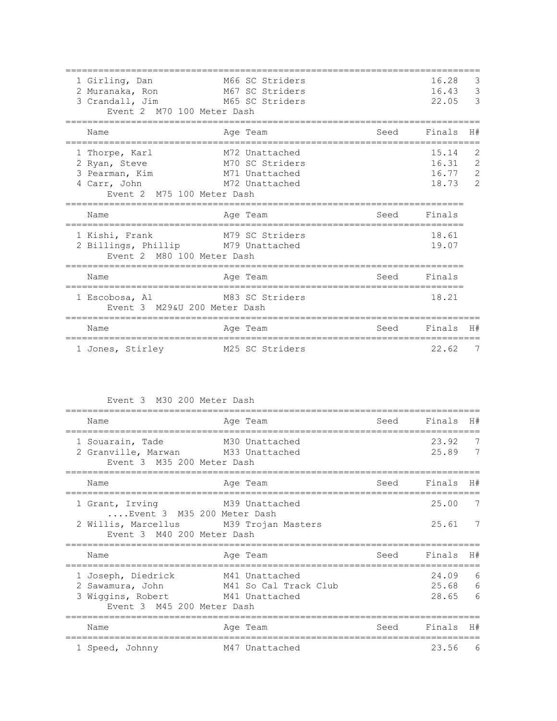| 1 Girling, Dan<br>2 Muranaka, Ron<br>3 Crandall, Jim<br>Event 2 M70 100 Meter Dash              | M66 SC Striders<br>M67 SC Striders<br>M65 SC Striders                 |      | 16.28<br>16.43<br>22.05          | 3<br>3<br>3                                             |
|-------------------------------------------------------------------------------------------------|-----------------------------------------------------------------------|------|----------------------------------|---------------------------------------------------------|
| Name                                                                                            | Age Team                                                              | Seed | Finals                           | H#                                                      |
| 1 Thorpe, Karl<br>2 Ryan, Steve<br>3 Pearman, Kim<br>4 Carr, John<br>Event 2 M75 100 Meter Dash | M72 Unattached<br>M70 SC Striders<br>M71 Unattached<br>M72 Unattached |      | 15.14<br>16.31<br>16.77<br>18.73 | 2<br>$\overline{2}$<br>$\overline{2}$<br>$\mathfrak{D}$ |
| Name                                                                                            | Age Team                                                              | Seed | Finals                           |                                                         |
| 1 Kishi, Frank<br>2 Billings, Phillip M79 Unattached<br>Event 2 M80 100 Meter Dash              | M79 SC Striders                                                       |      | 18.61<br>19.07                   |                                                         |
| Name                                                                                            | Age Team                                                              | Seed | Finals                           |                                                         |
| 1 Escobosa, Al<br>Event 3 M29&U 200 Meter Dash                                                  | M83 SC Striders                                                       |      | 18.21                            |                                                         |
| Name                                                                                            | Age Team                                                              | Seed | Finals                           | H#                                                      |
| 1 Jones, Stirley                                                                                | M25 SC Striders                                                       |      | 22.62                            | 7                                                       |

Event 3 M30 200 Meter Dash

| Name                                                                                      | Age Team                                                  | Seed | Finals                  | H#          |
|-------------------------------------------------------------------------------------------|-----------------------------------------------------------|------|-------------------------|-------------|
| 1 Souarain, Tade<br>2 Granville, Marwan M33 Unattached<br>Event 3 M35 200 Meter Dash      | M30 Unattached                                            |      | 23.92<br>25.89          | 7           |
| Name                                                                                      | Age Team                                                  | Seed | Finals                  | H#          |
| 1 Grant, Irving<br>Event 3 M35 200 Meter Dash                                             | M39 Unattached                                            |      | 25.00                   |             |
| 2 Willis, Marcellus M39 Trojan Masters<br>Event 3 M40 200 Meter Dash                      |                                                           |      | 25.61                   |             |
| Name                                                                                      | Age Team                                                  | Seed | Finals                  | H#          |
| 1 Joseph, Diedrick<br>2 Sawamura, John<br>3 Wiggins, Robert<br>Event 3 M45 200 Meter Dash | M41 Unattached<br>M41 So Cal Track Club<br>M41 Unattached |      | 24.09<br>25.68<br>28.65 | 6<br>6<br>6 |
| Name                                                                                      | Age Team                                                  | Seed | Finals                  | H#          |
| 1 Speed, Johnny                                                                           | M47 Unattached                                            |      | 23.56                   | - 6         |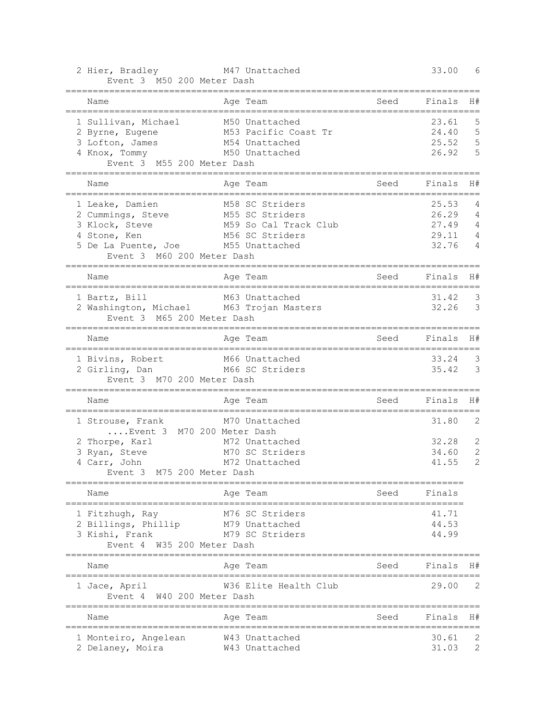| 2 Hier, Bradley<br>Event 3 M50 200 Meter Dash                                                                                                                  | M47 Unattached                                                        |                                      | 33.00                                     | 6                                                       |
|----------------------------------------------------------------------------------------------------------------------------------------------------------------|-----------------------------------------------------------------------|--------------------------------------|-------------------------------------------|---------------------------------------------------------|
| .==========<br>Name                                                                                                                                            | =================<br>Age Team                                         | Seed                                 | Finals                                    | H#                                                      |
| -----------------------------------<br>1 Sullivan, Michael<br>2 Byrne, Eugene<br>3 Lofton, James<br>4 Knox, Tommy M50 Unattached<br>Event 3 M55 200 Meter Dash | M50 Unattached<br>M53 Pacific Coast Tr<br>M54 Unattached              | ----------------------------         | 23.61<br>24.40<br>25.52<br>26.92          | 5<br>5<br>5<br>5                                        |
| Name                                                                                                                                                           | Age Team                                                              | Seed                                 | Finals                                    | H#                                                      |
| 1 Leake, Damien<br>2 Cummings, Steve M55 SC Striders<br>3 Klock, Steve<br>4 Stone, Ken<br>5 De La Puente, Joe M55 Unattached<br>Event 3 M60 200 Meter Dash     | M58 SC Striders<br>M59 So Cal Track Club<br>M56 SC Striders           |                                      | 25.53<br>26.29<br>27.49<br>29.11<br>32.76 | 4<br>4<br>4<br>$\overline{4}$<br>$\overline{4}$         |
| Name                                                                                                                                                           | Age Team                                                              | Seed<br>===================          | Finals                                    | H#                                                      |
| 1 Bartz, Bill<br>2 Washington, Michael M63 Trojan Masters<br>Event 3 M65 200 Meter Dash                                                                        | M63 Unattached                                                        |                                      | 31.42<br>32.26                            | -3<br>$\overline{\phantom{a}}$                          |
| Name                                                                                                                                                           | -----------------------------------<br>Age Team                       | Seed<br>---------------------------- | Finals                                    | H#                                                      |
| 1 Bivins, Robert M66 Unattached<br>2 Girling, Dan M66 SC Striders<br>Event 3 M70 200 Meter Dash                                                                |                                                                       |                                      | 33.24<br>35.42                            | $\overline{\mathbf{3}}$<br>$\overline{\mathbf{3}}$      |
| Name                                                                                                                                                           | Age Team                                                              | Seed                                 | Finals                                    | H#                                                      |
| 1 Strouse, Frank<br>Event 3 M70 200 Meter Dash<br>2 Thorpe, Karl<br>3 Ryan, Steve<br>4 Carr, John<br>Event 3 M75 200 Meter Dash                                | M70 Unattached<br>M72 Unattached<br>M70 SC Striders<br>M72 Unattached |                                      | 31.80<br>32.28<br>34.60<br>41.55          | $\overline{c}$<br>2<br>$\overline{c}$<br>$\overline{c}$ |
| Name                                                                                                                                                           | Age Team                                                              | Seed                                 | Finals                                    |                                                         |
| 1 Fitzhugh, Ray<br>2 Billings, Phillip<br>3 Kishi, Frank<br>W35 200 Meter Dash<br>Event 4                                                                      | M76 SC Striders<br>M79 Unattached<br>M79 SC Striders                  |                                      | 41.71<br>44.53<br>44.99                   |                                                         |
| Name                                                                                                                                                           | Age Team                                                              | Seed                                 | Finals                                    | H#                                                      |
| 1 Jace, April<br>Event 4<br>W40 200 Meter Dash                                                                                                                 | W36 Elite Health Club                                                 |                                      | 29.00                                     | 2                                                       |
| Name                                                                                                                                                           | ---------------------<br>Age Team                                     | -----------------<br>Seed            | Finals                                    | H#                                                      |
| 1 Monteiro, Angelean<br>2 Delaney, Moira                                                                                                                       | W43 Unattached<br>W43 Unattached                                      |                                      | 30.61<br>31.03                            | 2<br>$\mathbf{2}$                                       |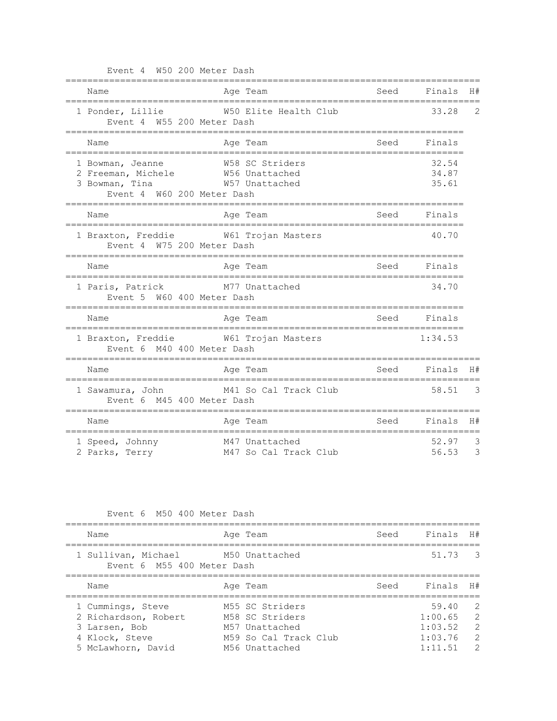| Event 4 W50 200 Meter Dash                                                                            |                                                              |      |                          |                          |
|-------------------------------------------------------------------------------------------------------|--------------------------------------------------------------|------|--------------------------|--------------------------|
| Name<br>______________________________________                                                        | Age Team                                                     | Seed | Finals                   | H#                       |
| 1 Ponder, Lillie<br>Event 4 W55 200 Meter Dash                                                        | ===============================<br>W50 Elite Health Club     |      | 33.28                    | $\overline{2}$           |
| Name                                                                                                  | Age Team                                                     |      | Seed Finals<br>========= |                          |
| 1 Bowman, Jeanne<br>2 Freeman, Michele W56 Unattached<br>3 Bowman, Tina<br>Event 4 W60 200 Meter Dash | W58 SC Striders<br>W57 Unattached                            |      | 32.54<br>34.87<br>35.61  |                          |
| Name                                                                                                  | Aqe Team                                                     |      | Seed Finals              |                          |
| 1 Braxton, Freddie M61 Trojan Masters<br>Event 4 W75 200 Meter Dash                                   |                                                              |      | 40.70                    |                          |
| Name                                                                                                  | Age Team                                                     | Seed | Finals                   |                          |
| 1 Paris, Patrick M77 Unattached<br>Event 5 W60 400 Meter Dash                                         |                                                              |      | 34.70                    |                          |
| Name                                                                                                  | Age Team<br>-----------------------------------<br>--------- |      | Seed Finals              |                          |
| 1 Braxton, Freddie M61 Trojan Masters<br>Event 6 M40 400 Meter Dash                                   |                                                              |      | 1:34.53                  |                          |
| Name                                                                                                  | Age Team                                                     |      | Seed Finals H#           |                          |
| 1 Sawamura, John M41 So Cal Track Club<br>Event 6 M45 400 Meter Dash                                  |                                                              |      | 58.51                    | $\overline{\phantom{a}}$ |
| Name                                                                                                  | Age Team                                                     | Seed | Finals                   | H#                       |
| 1 Speed, Johnny<br>2 Parks, Terry                                                                     | M47 Unattached<br>M47 So Cal Track Club                      |      | 52.97<br>56.53           | 3<br>3                   |

| Event 6 M50 400 Meter Dash |  |  |  |
|----------------------------|--|--|--|

| Name                                                             | Age Team              | Seed | Finals          | H#                       |
|------------------------------------------------------------------|-----------------------|------|-----------------|--------------------------|
| 1 Sullivan, Michael M50 Unattached<br>Event 6 M55 400 Meter Dash |                       |      | 51.73 3         |                          |
| Name                                                             | Age Team              | Seed | Finals H#       |                          |
| 1 Cummings, Steve                                                | M55 SC Striders       |      | 59.40           | $\overline{2}$           |
| 2 Richardson, Robert                                             | M58 SC Striders       |      | 1:00.65         | $\overline{\phantom{a}}$ |
| 3 Larsen, Bob                                                    | M57 Unattached        |      | 1:03.52         | $\overline{2}$           |
| 4 Klock, Steve                                                   | M59 So Cal Track Club |      | 1:03.76         | $\overline{2}$           |
| 5 McLawhorn, David                                               | M56 Unattached        |      | $1 \cdot 11$ 51 | $\mathcal{P}$            |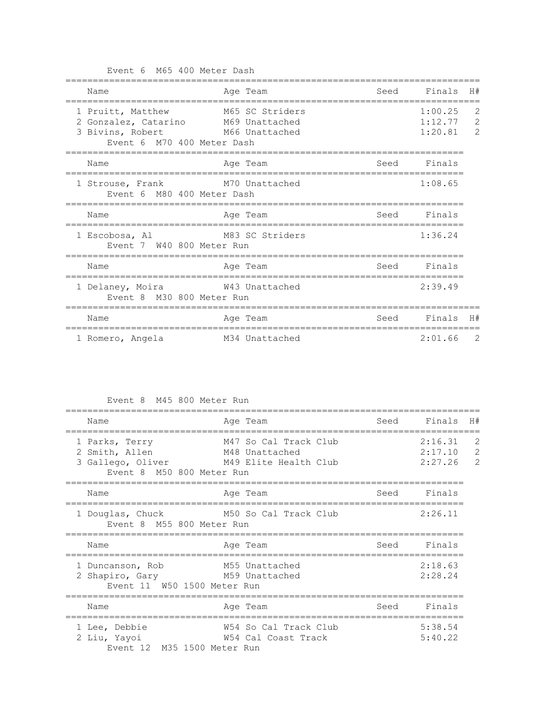Event 6 M65 400 Meter Dash

| H#                                                | Finals                        | Seed | Age Team                          | Name                                                                                                       |
|---------------------------------------------------|-------------------------------|------|-----------------------------------|------------------------------------------------------------------------------------------------------------|
| $\overline{2}$<br>$\overline{c}$<br>$\mathcal{P}$ | 1:00.25<br>1:12.77<br>1:20.81 |      | M65 SC Striders<br>M66 Unattached | 1 Pruitt, Matthew<br>2 Gonzalez, Catarino M69 Unattached<br>3 Bivins, Robert<br>Event 6 M70 400 Meter Dash |
|                                                   | Finals                        | Seed | Age Team                          | Name                                                                                                       |
|                                                   | 1:08.65                       |      | M70 Unattached                    | 1 Strouse, Frank<br>Event 6 M80 400 Meter Dash                                                             |
|                                                   | Finals                        | Seed | Age Team                          | Name                                                                                                       |
|                                                   | 1:36.24                       |      | M83 SC Striders                   | 1 Escobosa, Al<br>Event 7 W40 800 Meter Run                                                                |
|                                                   | Finals                        | Seed | Age Team                          | Name                                                                                                       |
|                                                   | 2:39.49                       |      | W43 Unattached                    | 1 Delaney, Moira<br>Event 8 M30 800 Meter Run                                                              |
| H#                                                | Finals                        | Seed | Age Team                          | Name                                                                                                       |
| -2                                                | 2:01.66                       |      | M34 Unattached                    | 1 Romero, Angela                                                                                           |

Event 8 M45 800 Meter Run

| Name                                                                               | Age Team                                                         | Seed | Finals                        | H#                                    |
|------------------------------------------------------------------------------------|------------------------------------------------------------------|------|-------------------------------|---------------------------------------|
| 1 Parks, Terry<br>2 Smith, Allen<br>3 Gallego, Oliver<br>Event 8 M50 800 Meter Run | M47 So Cal Track Club<br>M48 Unattached<br>M49 Elite Health Club |      | 2:16.31<br>2:17.10<br>2:27.26 | 2<br>$\overline{c}$<br>$\overline{2}$ |
| Name                                                                               | Age Team                                                         | Seed | Finals                        |                                       |
| 1 Douglas, Chuck<br>Event 8 M55 800 Meter Run                                      | M50 So Cal Track Club                                            |      | 2:26.11                       |                                       |
| Name                                                                               | Age Team                                                         | Seed | Finals                        |                                       |
| 1 Duncanson, Rob<br>2 Shapiro, Gary<br>Event 11 W50 1500 Meter Run                 | M55 Unattached<br>M59 Unattached                                 |      | 2:18.63<br>2:28.24            |                                       |
| Name                                                                               | Age Team                                                         | Seed | Finals                        |                                       |
| 1 Lee, Debbie<br>2 Liu, Yayoi<br>Event 12 M35 1500 Meter Run                       | W54 So Cal Track Club<br>W54 Cal Coast Track                     |      | 5:38.54<br>5:40.22            |                                       |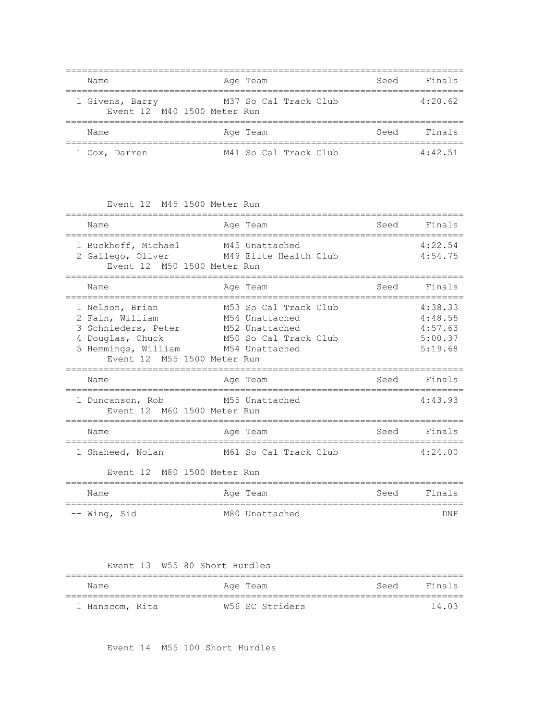| Name                                           | Age Team              | Seed | Finals  |
|------------------------------------------------|-----------------------|------|---------|
| 1 Givens, Barry<br>Event 12 M40 1500 Meter Run | M37 So Cal Track Club |      | 4:20.62 |
| Name                                           | Age Team              | Seed | Finals  |
| 1 Cox, Darren                                  | M41 So Cal Track Club |      | 4:42.51 |

Event 12 M45 1500 Meter Run

| Name                                                                                                                                                              | Age Team                                                                                                                                                                                                                                     | Seed                           | Finals                                              |
|-------------------------------------------------------------------------------------------------------------------------------------------------------------------|----------------------------------------------------------------------------------------------------------------------------------------------------------------------------------------------------------------------------------------------|--------------------------------|-----------------------------------------------------|
| 1 Buckhoff, Michael<br>Event 12 M50 1500 Meter Run                                                                                                                | M45 Unattached<br>2 Gallego, Oliver M49 Elite Health Club                                                                                                                                                                                    |                                | 4:22.54<br>4:54.75                                  |
| Name                                                                                                                                                              | Age Team                                                                                                                                                                                                                                     | Seed                           | Finals                                              |
| 1 Nelson, Brian<br>2 Fain, William<br>3 Schnieders, Peter M52 Unattached<br>4 Douglas, Chuck<br>5 Hemmings, William M54 Unattached<br>Event 12 M55 1500 Meter Run | M53 So Cal Track Club<br>M54 Unattached<br>M50 So Cal Track Club                                                                                                                                                                             |                                | 4:38.33<br>4:48.55<br>4:57.63<br>5:00.37<br>5:19.68 |
| Name<br>===============================                                                                                                                           | Age Team                                                                                                                                                                                                                                     | Seed                           | Finals                                              |
| 1 Duncanson, Rob M55 Unattached<br>Event 12 M60 1500 Meter Run                                                                                                    |                                                                                                                                                                                                                                              |                                | 4:43.93                                             |
| Name<br>==============================                                                                                                                            | Age Team                                                                                                                                                                                                                                     | Seed<br>---------------------- | Finals                                              |
| 1 Shaheed, Nolan<br>Event 12 M80 1500 Meter Run                                                                                                                   | M61 So Cal Track Club                                                                                                                                                                                                                        |                                | 4:24.00                                             |
| N⊺≏m≏                                                                                                                                                             | Cool Finale<br>Magnetic Distribution Distribution Property Company Property Company Company Property Company Company Company Company Company Company Company Company Company Company Company Company Company Company Company Company Company |                                |                                                     |

| Name         |  | Age Team       | Seed | Finals |
|--------------|--|----------------|------|--------|
|              |  |                |      |        |
| -- Wing, Sid |  | M80 Unattached |      | DNF    |

Event 13 W55 80 Short Hurdles

| Name            | Aqe Team        | Seed Finals |        |
|-----------------|-----------------|-------------|--------|
| 1 Hanscom, Rita | W56 SC Striders |             | 14 N 3 |

Event 14 M55 100 Short Hurdles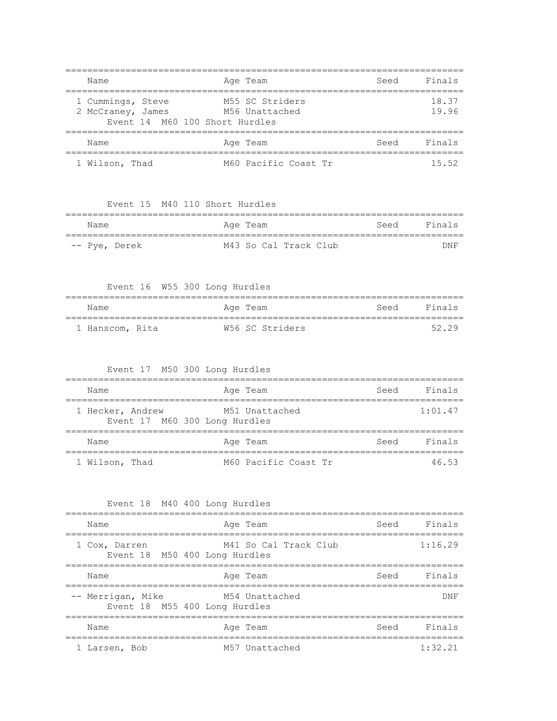| Name                                                                     | Age Team                          | Seed | Finals         |
|--------------------------------------------------------------------------|-----------------------------------|------|----------------|
| 1 Cummings, Steve<br>2 McCraney, James<br>Event 14 M60 100 Short Hurdles | M55 SC Striders<br>M56 Unattached |      | 18.37<br>19.96 |
| Name                                                                     | Age Team                          | Seed | Finals         |
| 1 Wilson, Thad                                                           | M60 Pacific Coast Tr              |      | 15.52          |

Event 15 M40 110 Short Hurdles

| Name          | Age Team |  |                       |  | Seed Finals |            |
|---------------|----------|--|-----------------------|--|-------------|------------|
| -- Pye, Derek |          |  | M43 So Cal Track Club |  |             | <b>DNF</b> |

Event 16 W55 300 Long Hurdles

| Name            | Aqe Team        | Seed Finals |
|-----------------|-----------------|-------------|
|                 |                 |             |
| 1 Hanscom, Rita | W56 SC Striders | 5229        |

## Event 17 M50 300 Long Hurdles

| Name                                              | Age Team             | Seed | Finals  |
|---------------------------------------------------|----------------------|------|---------|
| 1 Hecker, Andrew<br>Event 17 M60 300 Long Hurdles | M51 Unattached       |      | 1:01.47 |
| Name                                              | Age Team             | Seed | Finals  |
| 1 Wilson, Thad                                    | M60 Pacific Coast Tr |      | 46 53   |

## Event 18 M40 400 Long Hurdles

| Name              | Age Team                                               | Seed Finals |
|-------------------|--------------------------------------------------------|-------------|
| 1 Cox, Darren     | M41 So Cal Track Club<br>Event 18 M50 400 Long Hurdles | 1:16.29     |
| Name              | Age Team                                               | Seed Finals |
| -- Merrigan, Mike | M54 Unattached<br>Event 18 M55 400 Long Hurdles        | <b>DNF</b>  |
| Name              | Age Team                                               | Seed Finals |
| 1 Larsen, Bob     | M57 Unattached                                         | 1:32.21     |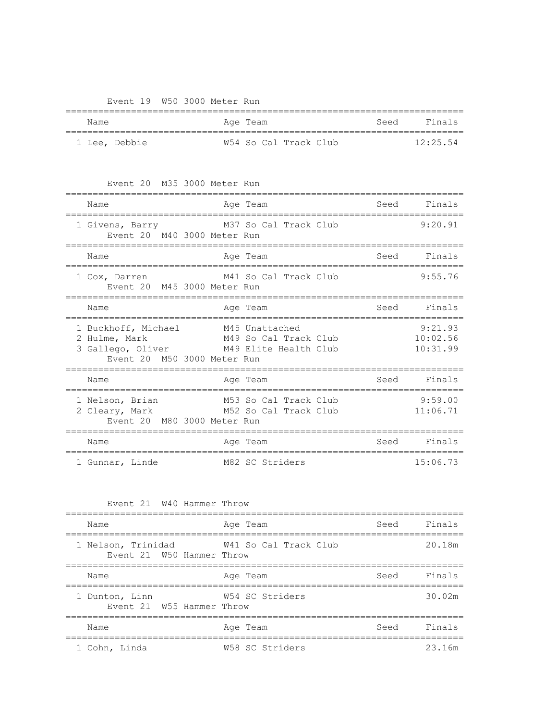Event 19 W50 3000 Meter Run

| Name          | Age Team              | Seed Finals |
|---------------|-----------------------|-------------|
| 1 Lee, Debbie | W54 So Cal Track Club | 12:25.54    |

Event 20 M35 3000 Meter Run

| Name                                                                                                           | Age Team                                       | Seed | Finals                          |
|----------------------------------------------------------------------------------------------------------------|------------------------------------------------|------|---------------------------------|
| 1 Givens, Barry<br>Event 20 M40 3000 Meter Run                                                                 | M37 So Cal Track Club                          |      | 9:20.91                         |
| Name                                                                                                           | Age Team                                       | Seed | Finals                          |
| 1 Cox, Darren<br>Event 20 M45 3000 Meter Run                                                                   | M41 So Cal Track Club                          |      | 9:55.76                         |
| Name                                                                                                           | Age Team                                       | Seed | Finals                          |
| 1 Buckhoff, Michael<br>2 Hulme, Mark<br>3 Gallego, Oliver M49 Elite Health Club<br>Event 20 M50 3000 Meter Run | M45 Unattached<br>M49 So Cal Track Club        |      | 9:21.93<br>10:02.56<br>10:31.99 |
| Name                                                                                                           | Age Team                                       | Seed | Finals                          |
| 1 Nelson, Brian<br>2 Cleary, Mark<br>Event 20 M80 3000 Meter Run                                               | M53 So Cal Track Club<br>M52 So Cal Track Club |      | 9:59.00<br>11:06.71             |
| Name                                                                                                           | Age Team                                       | Seed | Finals                          |
| 1 Gunnar, Linde                                                                                                | M82 SC Striders                                |      | 15:06.73                        |

| Event 21 W40 Hammer Throw |  |  |  |
|---------------------------|--|--|--|
|---------------------------|--|--|--|

| Name                                            | Age Team              | Seed Finals |        |
|-------------------------------------------------|-----------------------|-------------|--------|
| 1 Nelson, Trinidad<br>Event 21 W50 Hammer Throw | W41 So Cal Track Club |             | 20.18m |
| Name                                            | Age Team              | Seed Finals |        |
| 1 Dunton, Linn<br>Event 21 W55 Hammer Throw     | W54 SC Striders       |             | 30.02m |
| Name                                            | Age Team              | Seed Finals |        |
| 1 Cohn, Linda                                   | W58 SC Striders       |             | 23.16m |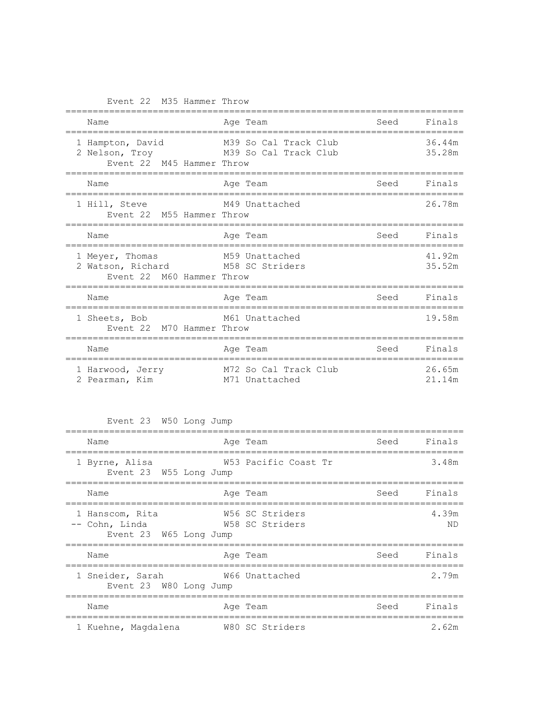Event 22 M35 Hammer Throw

| Name                                                                              | Age Team                                       | Seed | Finals           |
|-----------------------------------------------------------------------------------|------------------------------------------------|------|------------------|
| 1 Hampton, David<br>2 Nelson, Troy<br>Event 22 M45 Hammer Throw                   | M39 So Cal Track Club<br>M39 So Cal Track Club |      | 36.44m<br>35.28m |
| Name<br>------------------------                                                  | Age Team                                       | Seed | Finals           |
| 1 Hill, Steve<br>Event 22 M55 Hammer Throw                                        | M49 Unattached                                 |      | 26.78m           |
| Name                                                                              | Age Team                                       | Seed | Finals           |
| 1 Meyer, Thomas<br>2 Watson, Richard M58 SC Striders<br>Event 22 M60 Hammer Throw | M59 Unattached                                 |      | 41.92m<br>35.52m |
| Name                                                                              | Age Team                                       | Seed | Finals           |
|                                                                                   |                                                |      |                  |
| 1 Sheets, Bob<br>Event 22 M70 Hammer Throw                                        | M61 Unattached                                 |      | 19.58m           |
| Name                                                                              | Age Team                                       | Seed | Finals           |

Event 23 W50 Long Jump

| Name                                                        | Age Team                           |      | Seed Finals |
|-------------------------------------------------------------|------------------------------------|------|-------------|
| 1 Byrne, Alisa<br>Event 23 W55 Long Jump                    | W53 Pacific Coast Tr               |      | 3.48m       |
| Name                                                        | Age Team                           | Seed | Finals      |
| 1 Hanscom, Rita<br>-- Cohn, Linda<br>Event 23 W65 Long Jump | W56 SC Striders<br>W58 SC Striders |      | 4.39m<br>ND |
| Name                                                        | Age Team                           |      | Seed Finals |
| 1 Sneider, Sarah<br>Event 23 W80 Long Jump                  | W66 Unattached                     |      | 2.79m       |
| Name                                                        | Age Team                           | Seed | Finals      |
| 1 Kuehne, Magdalena                                         | W80 SC Striders                    |      | 2.62m       |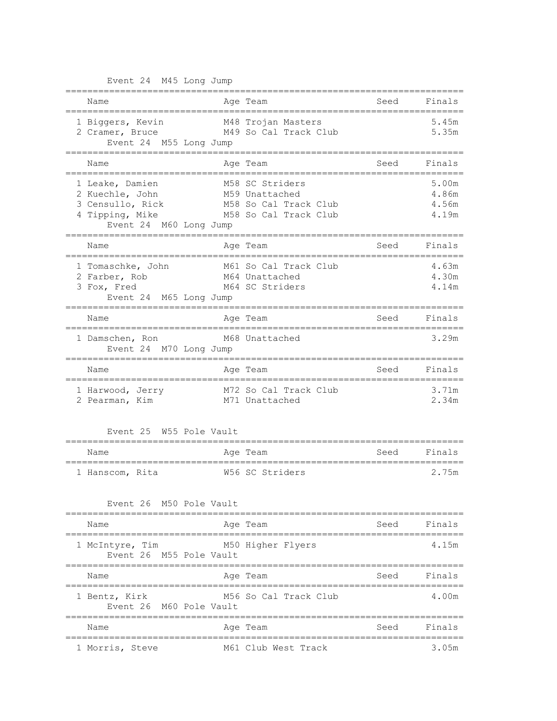Event 24 M45 Long Jump

| Name                                                                                                | Age Team                                                                            | Seed | Finals                           |
|-----------------------------------------------------------------------------------------------------|-------------------------------------------------------------------------------------|------|----------------------------------|
| 1 Biggers, Kevin<br>2 Cramer, Bruce M49 So Cal Track Club<br>Event 24 M55 Long Jump                 | M48 Trojan Masters                                                                  |      | 5.45m<br>5.35m                   |
| Name                                                                                                | Age Team                                                                            | Seed | Finals                           |
| 1 Leake, Damien<br>2 Kuechle, John<br>3 Censullo, Rick<br>4 Tipping, Mike<br>Event 24 M60 Long Jump | M58 SC Striders<br>M59 Unattached<br>M58 So Cal Track Club<br>M58 So Cal Track Club |      | 5.00m<br>4.86m<br>4.56m<br>4.19m |
| Name<br>---------------------------------                                                           | Age Team<br>----------------------                                                  | Seed | Finals                           |
| 1 Tomaschke, John<br>2 Farber, Rob<br>3 Fox, Fred<br>Event 24 M65 Long Jump                         | M61 So Cal Track Club<br>M64 Unattached<br>M64 SC Striders                          |      | 4.63m<br>4.30m<br>4.14m          |
| Name                                                                                                | Age Team                                                                            | Seed | Finals                           |
| 1 Damschen, Ron<br>Event 24 M70 Long Jump                                                           | M68 Unattached                                                                      |      | 3.29m                            |
| Name                                                                                                | Age Team                                                                            | Seed | Finals                           |
| 1 Harwood, Jerry<br>2 Pearman, Kim                                                                  | M72 So Cal Track Club<br>M71 Unattached                                             |      | 3.71m<br>2.34m                   |
| Event 25 W55 Pole Vault                                                                             |                                                                                     |      |                                  |
| ==================<br>Name                                                                          | Age Team                                                                            | Seed | Finals                           |
| 1 Hanscom, Rita                                                                                     | W56 SC Striders                                                                     |      | 2.75m                            |
| Event 26 M50 Pole Vault                                                                             |                                                                                     |      |                                  |
| :===============================<br>Name                                                            | ==========================<br>Age Team                                              | Seed | Finals                           |
| ====================================<br>1 McIntyre, Tim<br>Event 26 M55 Pole Vault                  | =================================<br>M50 Higher Flyers                              |      | 4.15m                            |
| Name<br>------------------                                                                          | Age Team                                                                            | Seed | Finals                           |
| 1 Bentz, Kirk<br>Event 26 M60 Pole Vault                                                            | M56 So Cal Track Club                                                               |      | 4.00m                            |
| Name                                                                                                | Age Team                                                                            | Seed | Finals                           |
| 1 Morris, Steve                                                                                     | M61 Club West Track                                                                 |      | 3.05m                            |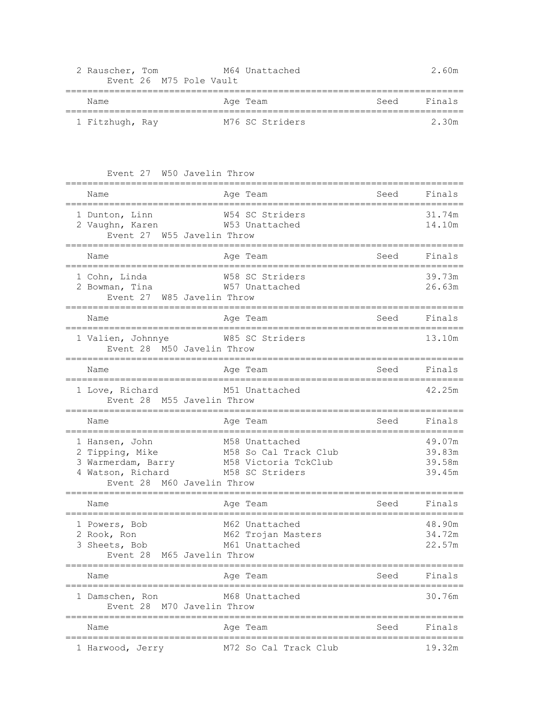| 2 Rauscher, Tom | Event 26 M75 Pole Vault | M64 Unattached  |      | 2.60m  |
|-----------------|-------------------------|-----------------|------|--------|
| Name            |                         | Age Team        | Seed | Finals |
| 1 Fitzhugh, Ray |                         | M76 SC Striders |      | 2.30m  |

Event 27 W50 Javelin Throw

| Name                                                                                                          | Age Team                                                                           | Seed                      | Finals                               |
|---------------------------------------------------------------------------------------------------------------|------------------------------------------------------------------------------------|---------------------------|--------------------------------------|
| 1 Dunton, Linn<br>2 Vaughn, Karen<br>W55 Javelin Throw<br>Event 27                                            | W54 SC Striders<br>W53 Unattached                                                  |                           | 31.74m<br>14.10m                     |
| Name<br>===================================                                                                   | Age Team<br>==========================                                             | Seed                      | Finals                               |
| 1 Cohn, Linda<br>2 Bowman, Tina<br>Event 27 W85 Javelin Throw                                                 | W58 SC Striders<br>W57 Unattached                                                  |                           | 39.73m<br>26.63m                     |
| Name                                                                                                          | Age Team                                                                           | Seed                      | Finals                               |
| 1 Valien, Johnnye<br>Event 28 M50 Javelin Throw                                                               | W85 SC Striders                                                                    |                           | 13.10m                               |
| Name<br>-------------------------------                                                                       | Age Team                                                                           | Seed<br>----------------- | Finals                               |
| 1 Love, Richard<br>M55 Javelin Throw<br>Event 28                                                              | M51 Unattached                                                                     |                           | 42.25m                               |
| Name                                                                                                          | Age Team                                                                           | Seed                      | Finals                               |
| 1 Hansen, John<br>2 Tipping, Mike<br>3 Warmerdam, Barry<br>4 Watson, Richard<br>M60 Javelin Throw<br>Event 28 | M58 Unattached<br>M58 So Cal Track Club<br>M58 Victoria TckClub<br>M58 SC Striders |                           | 49.07m<br>39.83m<br>39.58m<br>39.45m |
| Name                                                                                                          | Age Team<br>===================================                                    | Seed                      | Finals                               |
| 1 Powers, Bob<br>2 Rook, Ron<br>3 Sheets, Bob<br>M65 Javelin Throw<br>Event 28                                | M62 Unattached<br>M62 Trojan Masters<br>M61 Unattached<br>===================      |                           | 48.90m<br>34.72m<br>22.57m           |
| Name                                                                                                          | Age Team                                                                           | Seed                      | Finals                               |
| 1 Damschen, Ron<br>Event 28 M70 Javelin Throw                                                                 | M68 Unattached<br>----------------------                                           |                           | 30.76m                               |
| Name                                                                                                          | Age Team                                                                           | Seed                      | Finals                               |
| 1 Harwood, Jerry                                                                                              | M72 So Cal Track Club                                                              |                           | 19.32m                               |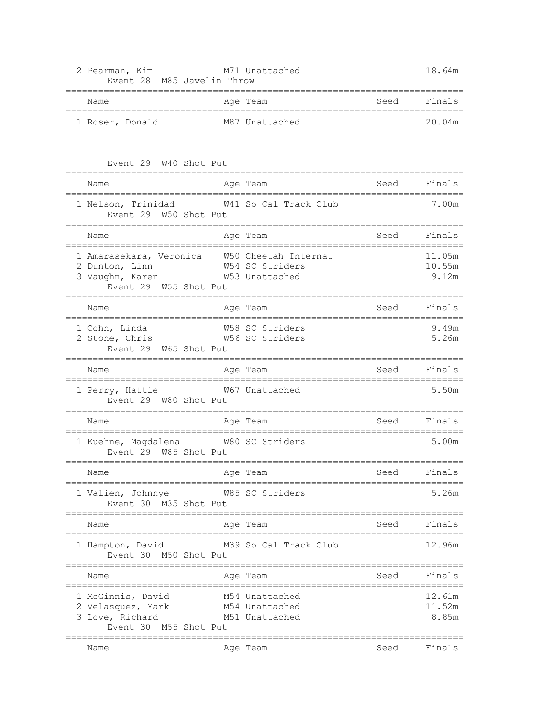| Name                                                                                                                                               |          | Age Team                                           |      | Seed Finals                          |
|----------------------------------------------------------------------------------------------------------------------------------------------------|----------|----------------------------------------------------|------|--------------------------------------|
| 1 Roser, Donald                                                                                                                                    |          | M87 Unattached                                     |      | 20.04m                               |
| Event 29 W40 Shot Put<br>===============================                                                                                           |          |                                                    |      |                                      |
| Name<br>=====================================                                                                                                      |          | Age Team                                           |      | Seed Finals                          |
| 1 Nelson, Trinidad W41 So Cal Track Club<br>Event 29 W50 Shot Put                                                                                  |          |                                                    |      | 7.00m                                |
| Name<br>-------------------                                                                                                                        |          | Age Team<br>________________________________       | Seed | Finals                               |
| 1 Amarasekara, Veronica W50 Cheetah Internat<br>2 Dunton, Linn<br>3 Vaughn, Karen<br>3 Vaughn, Karen<br>10 W53 Unattached<br>Event 29 W55 Shot Put |          |                                                    |      | 11.05m<br>10.55m<br>9.12m            |
| Name                                                                                                                                               |          | Age Team                                           | Seed | Finals                               |
| 1 Cohn, Linda<br>2 Stone, Chris W56 SC Striders<br>Event 29 W65 Shot Put                                                                           |          | W58 SC Striders                                    |      | 9.49m<br>5.26m                       |
| Name                                                                                                                                               |          | Age Team                                           |      | Seed Finals                          |
| 1 Perry, Hattie M67 Unattached<br>Event 29 W80 Shot Put                                                                                            |          |                                                    |      | 5.50m                                |
| Name<br>_____________________                                                                                                                      | -------- | Age Team                                           | Seed | Finals                               |
| 1 Kuehne, Magdalena W80 SC Striders<br>Event 29 W85 Shot Put                                                                                       |          |                                                    |      | 5.00m                                |
| Name                                                                                                                                               |          | Age Team                                           | Seed | Finals                               |
| 1 Valien, Johnnye<br>Event 30 M35 Shot Put                                                                                                         |          | W85 SC Striders<br>=============================   |      | 5.26m                                |
| Name                                                                                                                                               |          | Age Team<br>----------------                       | Seed | Finals                               |
| 1 Hampton, David<br>Event 30 M50 Shot Put                                                                                                          |          | M39 So Cal Track Club                              |      | ==========================<br>12.96m |
| Name                                                                                                                                               |          | Age Team                                           | Seed | Finals                               |
| 1 McGinnis, David<br>2 Velasquez, Mark<br>3 Love, Richard<br>Event 30 M55 Shot Put                                                                 |          | M54 Unattached<br>M54 Unattached<br>M51 Unattached |      | 12.61m<br>11.52m<br>8.85m            |
|                                                                                                                                                    |          |                                                    |      |                                      |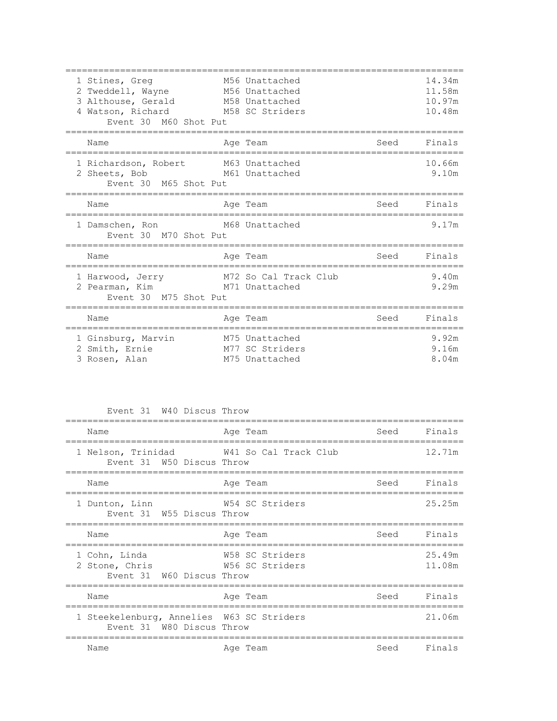| 1 Stines, Greq<br>2 Tweddell, Wayne M56 Unattached<br>3 Althouse, Gerald M58 Unattached<br>4 Watson, Richard<br>Event 30 M60 Shot Put | M56 Unattached<br>M58 SC Striders                   |                        | 14.34m<br>11.58m<br>10.97m<br>10.48m |
|---------------------------------------------------------------------------------------------------------------------------------------|-----------------------------------------------------|------------------------|--------------------------------------|
| Name<br>==================================                                                                                            | Age Team                                            | Seed<br>============== | Finals                               |
| 1 Richardson, Robert<br>2 Sheets, Bob<br>Event 30 M65 Shot Put                                                                        | M63 Unattached<br>M61 Unattached                    |                        | 10.66m<br>9.10m                      |
| Name                                                                                                                                  | Age Team                                            | Seed                   | Finals                               |
| 1 Damschen, Ron M68 Unattached<br>Event 30 M70 Shot Put                                                                               |                                                     |                        | 9.17m                                |
| Name                                                                                                                                  | Age Team                                            | Seed                   | Finals                               |
| 1 Harwood, Jerry<br>2 Pearman, Kim<br>Event 30 M75 Shot Put                                                                           | M72 So Cal Track Club<br>M71 Unattached             |                        | 9.40m<br>9.29m                       |
| Name                                                                                                                                  | Age Team                                            | Seed                   | Finals                               |
| 1 Ginsburg, Marvin<br>2 Smith, Ernie<br>3 Rosen, Alan                                                                                 | M75 Unattached<br>M77 SC Striders<br>M75 Unattached |                        | 9.92m<br>9.16m<br>8.04m              |

Event 31 W40 Discus Throw

| Name                                                                   | Age Team                           | Seed Finals |                  |
|------------------------------------------------------------------------|------------------------------------|-------------|------------------|
| 1 Nelson, Trinidad W41 So Cal Track Club<br>Event 31 W50 Discus Throw  |                                    |             | 12.71m           |
| Name                                                                   | Age Team                           | Seed Finals |                  |
| 1 Dunton, Linn<br>Event 31 W55 Discus Throw                            | W54 SC Striders                    |             | 25.25m           |
| Name                                                                   | Age Team                           | Seed Finals |                  |
| 1 Cohn, Linda<br>2 Stone, Chris<br>Event 31 W60 Discus Throw           | W58 SC Striders<br>W56 SC Striders |             | 25.49m<br>11.08m |
| Name                                                                   | Age Team                           | Seed Finals |                  |
| 1 Steekelenburg, Annelies W63 SC Striders<br>Event 31 W80 Discus Throw |                                    |             | 21.06m           |
| Name                                                                   | Age Team                           | Seed Finals |                  |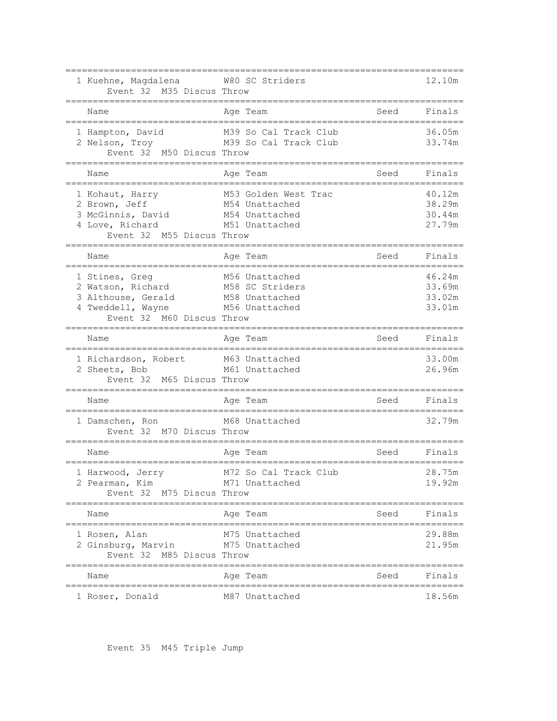| 1 Kuehne, Magdalena 60 W80 SC Striders<br>Event 32 M35 Discus Throw                                                                                                                             |                                                          |                          | 12.10m                               |
|-------------------------------------------------------------------------------------------------------------------------------------------------------------------------------------------------|----------------------------------------------------------|--------------------------|--------------------------------------|
| Name                                                                                                                                                                                            | Age Team                                                 | Seed                     | Finals                               |
| 1 Hampton, David<br>2 Nelson, Troy M39 So Cal Track Club<br>Event 32 M50 Discus Throw                                                                                                           | M39 So Cal Track Club                                    |                          | 36.05m<br>33.74m                     |
| Name<br>------------------------------------                                                                                                                                                    | Age Team<br>================================             | Seed                     | Finals                               |
| 1 Kohaut, Harry<br>2 Brown, Jeff<br>3 McGinnis, David M54 Unattached<br>4 Love, Richard<br>M55 Discus Throw<br>Event 32                                                                         | M53 Golden West Trac<br>M54 Unattached<br>M51 Unattached |                          | 40.12m<br>38.29m<br>30.44m<br>27.79m |
| ---------------------------------<br>Name                                                                                                                                                       | Age Team                                                 | Seed                     | Finals                               |
| ==================================<br>1 Stines, Greg<br>2 Watson, Richard M58 SC Striders<br>3 Althouse, Gerald M58 Unattached<br>4 Tweddell, Wayne M56 Unattached<br>Event 32 M60 Discus Throw | ____________________________<br>M56 Unattached           |                          | 46.24m<br>33.69m<br>33.02m<br>33.01m |
| Name<br>;==================================                                                                                                                                                     | Age Team                                                 | Seed<br>.=============== | Finals                               |
| 1 Richardson, Robert M63 Unattached<br>2 Sheets, Bob M61 Unattached<br>2 Sheets, Bob<br>Event 32 M65 Discus Throw                                                                               |                                                          |                          | 33.00m<br>26.96m                     |
| Name<br>====================================                                                                                                                                                    | Age Team                                                 | Seed                     | Finals                               |
| 1 Damschen, Ron<br>Event 32 M70 Discus Throw                                                                                                                                                    | M68 Unattached                                           |                          | 32.79m                               |
| Name                                                                                                                                                                                            | Age Team                                                 | Seed                     | Finals                               |
| 1 Harwood, Jerry<br>2 Pearman, Kim                                                                                                                                                              | M72 So Cal Track Club                                    |                          | 28.75m                               |
| Event 32 M75 Discus Throw                                                                                                                                                                       | M71 Unattached                                           |                          | 19.92m                               |
| Name                                                                                                                                                                                            | =====================<br>Age Team                        | Seed                     | Finals                               |
| 1 Rosen, Alan<br>2 Ginsburg, Marvin<br>Event 32 M85 Discus Throw<br>------------------                                                                                                          | M75 Unattached<br>M75 Unattached                         |                          | 29.88m<br>21.95m                     |
| Name                                                                                                                                                                                            | Age Team                                                 | Seed                     | Finals                               |

Event 35 M45 Triple Jump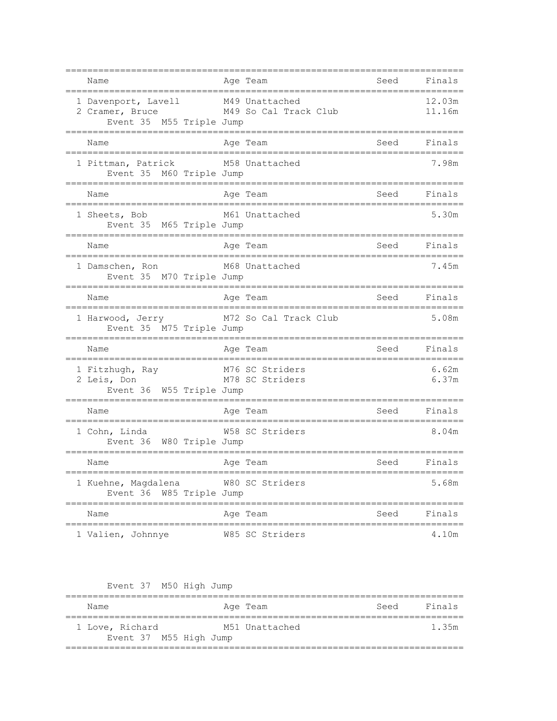| Name                                                               | Age Team                                                     | Seed                      | Finals           |
|--------------------------------------------------------------------|--------------------------------------------------------------|---------------------------|------------------|
| 1 Davenport, Lavell<br>2 Cramer, Bruce<br>Event 35 M55 Triple Jump | M49 Unattached<br>ll M49 Unattacheu<br>M49 So Cal Track Club |                           | 12.03m<br>11.16m |
| Name<br>==============                                             | Age Team                                                     | Seed<br>================= | Finals           |
| 1 Pittman, Patrick<br>Event 35 M60 Triple Jump                     | M58 Unattached                                               |                           | 7.98m            |
| Name<br>.=================================                         | Age Team                                                     | ---------------------     | Seed Finals      |
| 1 Sheets, Bob<br>Event 35 M65 Triple Jump                          | M61 Unattached<br>========================                   |                           | 5.30m            |
| Name                                                               | Age Team                                                     | Seed Finals               |                  |
| 1 Damschen, Ron<br>Event 35 M70 Triple Jump                        | M68 Unattached                                               |                           | 7.45m            |
| Name                                                               | Aqe Team                                                     |                           | Seed Finals      |
| 1 Harwood, Jerry<br>Event 35 M75 Triple Jump                       | M72 So Cal Track Club                                        |                           | 5.08m            |
| Name                                                               | Age Team                                                     | Seed                      | Finals           |
| Event 36 W55 Triple Jump                                           |                                                              |                           | 6.62m<br>6.37m   |
| Name                                                               | Aqe Team                                                     |                           | Seed Finals      |
| 1 Cohn, Linda<br>Event 36 W80 Triple Jump                          | W58 SC Striders                                              |                           | 8.04m            |
| Name                                                               | Age Team                                                     | Seed                      | Finals           |
| 1 Kuehne, Magdalena W80 SC Striders<br>Event 36 W85 Triple Jump    |                                                              |                           | 5.68m            |
| Name                                                               | Age Team                                                     | Seed                      | Finals           |
| 1 Valien, Johnnye                                                  | W85 SC Striders                                              |                           | 4.10m            |

| Name                                      | Age Team       | Seed | Finals |
|-------------------------------------------|----------------|------|--------|
|                                           |                |      |        |
| 1 Love, Richard<br>Event 37 M55 High Jump | M51 Unattached |      | 1.35m  |